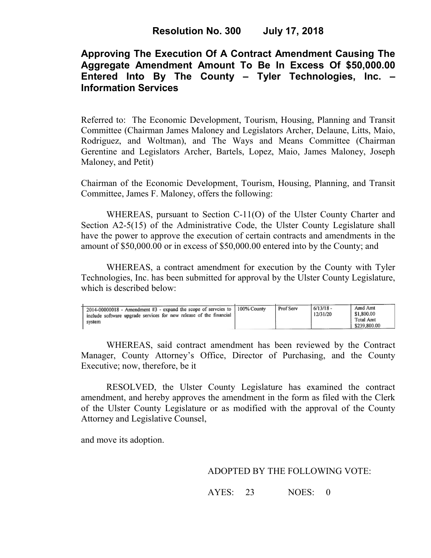# **Approving The Execution Of A Contract Amendment Causing The Aggregate Amendment Amount To Be In Excess Of \$50,000.00 Entered Into By The County – Tyler Technologies, Inc. – Information Services**

Referred to: The Economic Development, Tourism, Housing, Planning and Transit Committee (Chairman James Maloney and Legislators Archer, Delaune, Litts, Maio, Rodriguez, and Woltman), and The Ways and Means Committee (Chairman Gerentine and Legislators Archer, Bartels, Lopez, Maio, James Maloney, Joseph Maloney, and Petit)

Chairman of the Economic Development, Tourism, Housing, Planning, and Transit Committee, James F. Maloney, offers the following:

WHEREAS, pursuant to Section C-11(O) of the Ulster County Charter and Section A2-5(15) of the Administrative Code, the Ulster County Legislature shall have the power to approve the execution of certain contracts and amendments in the amount of \$50,000.00 or in excess of \$50,000.00 entered into by the County; and

 WHEREAS, a contract amendment for execution by the County with Tyler Technologies, Inc. has been submitted for approval by the Ulster County Legislature, which is described below:

| 2014-00000018 - Amendment #3 - expand the scope of serveies to 100% County<br>include software upgrade services for new release of the financial<br>svstem |  | Prof Serv | 6/13/18 -<br>12/31/20 | Amd Amt<br>\$1,800.00<br>Total Amt<br>\$239,800.00 |
|------------------------------------------------------------------------------------------------------------------------------------------------------------|--|-----------|-----------------------|----------------------------------------------------|
|------------------------------------------------------------------------------------------------------------------------------------------------------------|--|-----------|-----------------------|----------------------------------------------------|

WHEREAS, said contract amendment has been reviewed by the Contract Manager, County Attorney's Office, Director of Purchasing, and the County Executive; now, therefore, be it

RESOLVED, the Ulster County Legislature has examined the contract amendment, and hereby approves the amendment in the form as filed with the Clerk of the Ulster County Legislature or as modified with the approval of the County Attorney and Legislative Counsel,

and move its adoption.

### ADOPTED BY THE FOLLOWING VOTE:

AYES: 23 NOES: 0